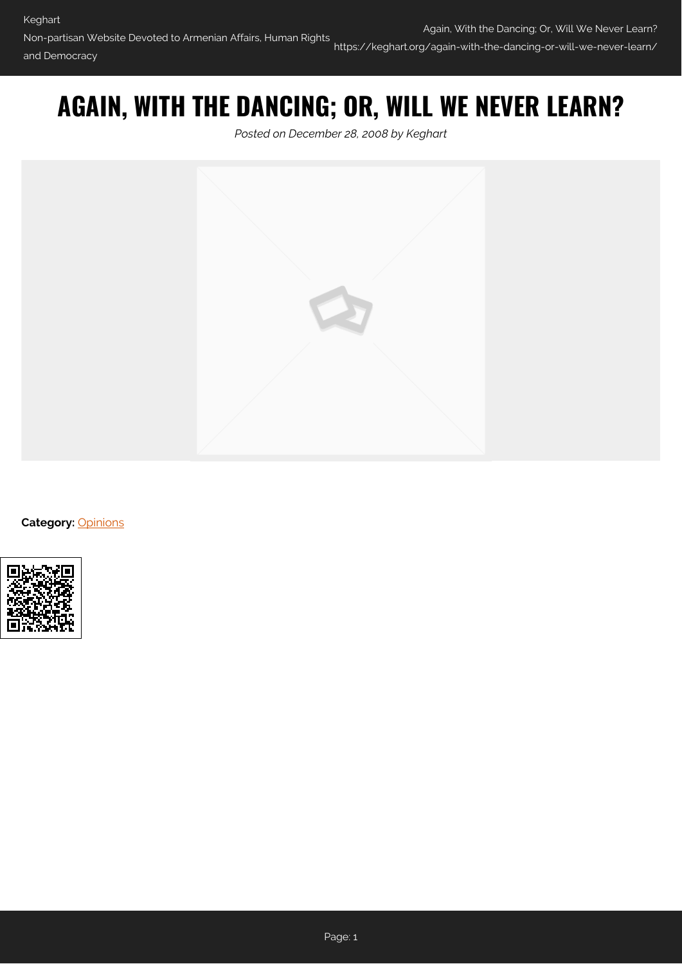## **AGAIN, WITH THE DANCING; OR, WILL WE NEVER LEARN?**

*Posted on December 28, 2008 by Keghart*



**Category: [Opinions](https://keghart.org/category/opinions/)** 

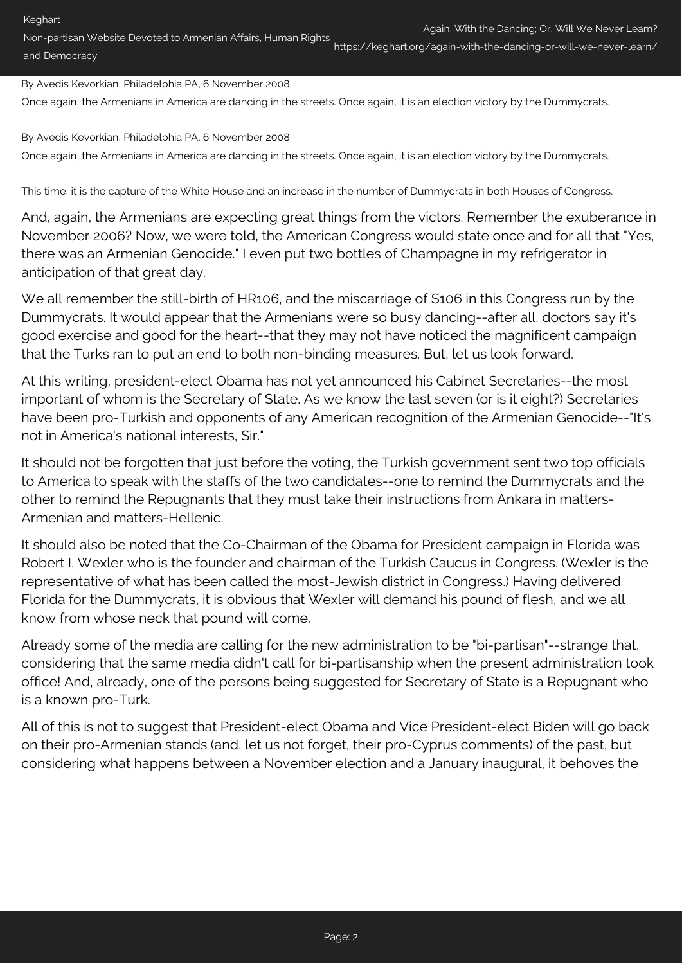Again, With the Dancing; Or, Will We Never Learn?

Non-partisan Website Devoted to Armenian Affairs, Human Rights and Democracy https://keghart.org/again-with-the-dancing-or-will-we-never-learn/

By Avedis Kevorkian, Philadelphia PA, 6 November 2008

Once again, the Armenians in America are dancing in the streets. Once again, it is an election victory by the Dummycrats.

By Avedis Kevorkian, Philadelphia PA, 6 November 2008 Once again, the Armenians in America are dancing in the streets. Once again, it is an election victory by the Dummycrats.

This time, it is the capture of the White House and an increase in the number of Dummycrats in both Houses of Congress.

And, again, the Armenians are expecting great things from the victors. Remember the exuberance in November 2006? Now, we were told, the American Congress would state once and for all that "Yes, there was an Armenian Genocide." I even put two bottles of Champagne in my refrigerator in anticipation of that great day.

We all remember the still-birth of HR106, and the miscarriage of S106 in this Congress run by the Dummycrats. It would appear that the Armenians were so busy dancing--after all, doctors say it's good exercise and good for the heart--that they may not have noticed the magnificent campaign that the Turks ran to put an end to both non-binding measures. But, let us look forward.

At this writing, president-elect Obama has not yet announced his Cabinet Secretaries--the most important of whom is the Secretary of State. As we know the last seven (or is it eight?) Secretaries have been pro-Turkish and opponents of any American recognition of the Armenian Genocide--"It's not in America's national interests, Sir."

It should not be forgotten that just before the voting, the Turkish government sent two top officials to America to speak with the staffs of the two candidates--one to remind the Dummycrats and the other to remind the Repugnants that they must take their instructions from Ankara in matters-Armenian and matters-Hellenic.

It should also be noted that the Co-Chairman of the Obama for President campaign in Florida was Robert I. Wexler who is the founder and chairman of the Turkish Caucus in Congress. (Wexler is the representative of what has been called the most-Jewish district in Congress.) Having delivered Florida for the Dummycrats, it is obvious that Wexler will demand his pound of flesh, and we all know from whose neck that pound will come.

Already some of the media are calling for the new administration to be "bi-partisan"--strange that, considering that the same media didn't call for bi-partisanship when the present administration took office! And, already, one of the persons being suggested for Secretary of State is a Repugnant who is a known pro-Turk.

All of this is not to suggest that President-elect Obama and Vice President-elect Biden will go back on their pro-Armenian stands (and, let us not forget, their pro-Cyprus comments) of the past, but considering what happens between a November election and a January inaugural, it behoves the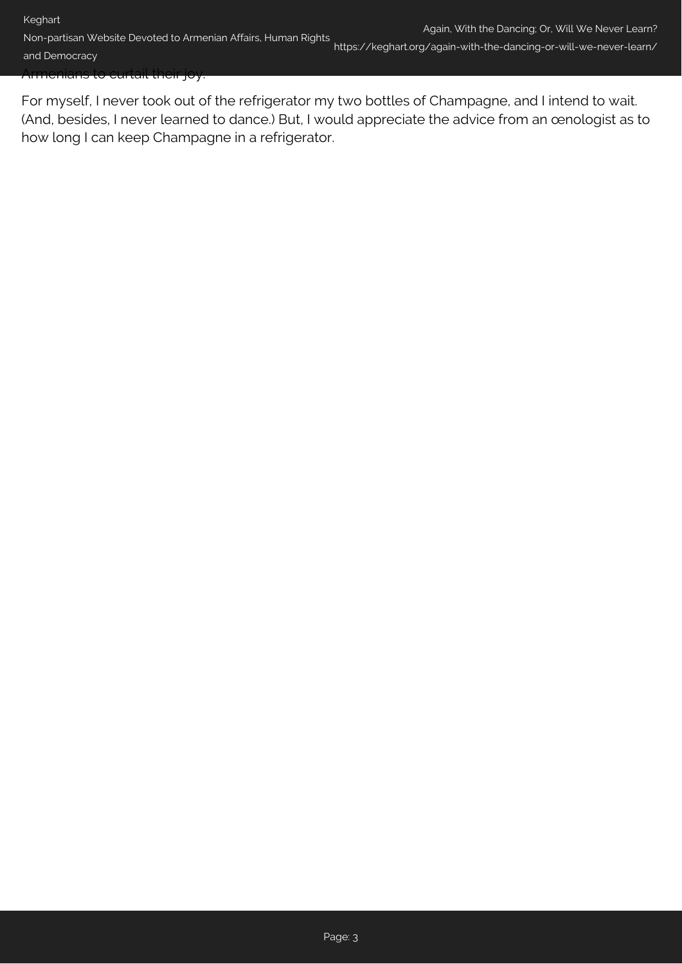For myself, I never took out of the refrigerator my two bottles of Champagne, and I intend to wait. (And, besides, I never learned to dance.) But, I would appreciate the advice from an œnologist as to how long I can keep Champagne in a refrigerator.